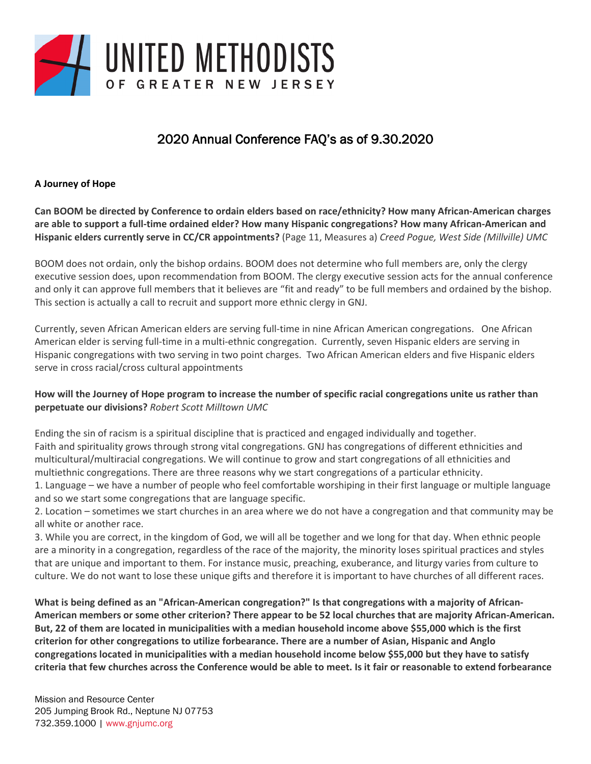

# 2020 Annual Conference FAQ's as of 9.30.2020

## **A Journey of Hope**

**Can BOOM be directed by Conference to ordain elders based on race/ethnicity? How many African-American charges are able to support a full-time ordained elder? How many Hispanic congregations? How many African-American and Hispanic elders currently serve in CC/CR appointments?** (Page 11, Measures a) *Creed Pogue, West Side (Millville) UMC*

BOOM does not ordain, only the bishop ordains. BOOM does not determine who full members are, only the clergy executive session does, upon recommendation from BOOM. The clergy executive session acts for the annual conference and only it can approve full members that it believes are "fit and ready" to be full members and ordained by the bishop. This section is actually a call to recruit and support more ethnic clergy in GNJ.

Currently, seven African American elders are serving full-time in nine African American congregations. One African American elder is serving full-time in a multi-ethnic congregation. Currently, seven Hispanic elders are serving in Hispanic congregations with two serving in two point charges. Two African American elders and five Hispanic elders serve in cross racial/cross cultural appointments

#### **How will the Journey of Hope program to increase the number of specific racial congregations unite us rather than perpetuate our divisions?** *Robert Scott Milltown UMC*

Ending the sin of racism is a spiritual discipline that is practiced and engaged individually and together. Faith and spirituality grows through strong vital congregations. GNJ has congregations of different ethnicities and multicultural/multiracial congregations. We will continue to grow and start congregations of all ethnicities and multiethnic congregations. There are three reasons why we start congregations of a particular ethnicity.

1. Language – we have a number of people who feel comfortable worshiping in their first language or multiple language and so we start some congregations that are language specific.

2. Location – sometimes we start churches in an area where we do not have a congregation and that community may be all white or another race.

3. While you are correct, in the kingdom of God, we will all be together and we long for that day. When ethnic people are a minority in a congregation, regardless of the race of the majority, the minority loses spiritual practices and styles that are unique and important to them. For instance music, preaching, exuberance, and liturgy varies from culture to culture. We do not want to lose these unique gifts and therefore it is important to have churches of all different races.

**What is being defined as an "African-American congregation?" Is that congregations with a majority of African-American members or some other criterion? There appear to be 52 local churches that are majority African-American. But, 22 of them are located in municipalities with a median household income above \$55,000 which is the first criterion for other congregations to utilize forbearance. There are a number of Asian, Hispanic and Anglo congregations located in municipalities with a median household income below \$55,000 but they have to satisfy criteria that few churches across the Conference would be able to meet. Is it fair or reasonable to extend forbearance**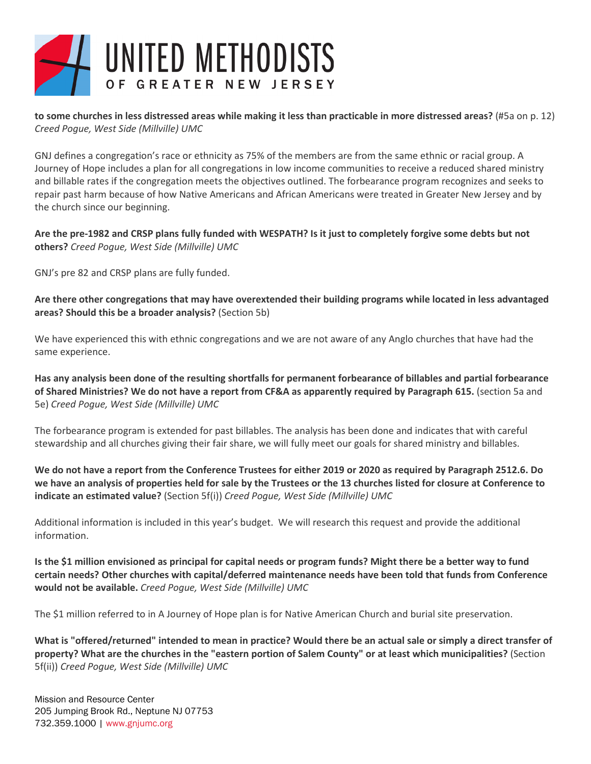

**to some churches in less distressed areas while making it less than practicable in more distressed areas?** (#5a on p. 12) *Creed Pogue, West Side (Millville) UMC*

GNJ defines a congregation's race or ethnicity as 75% of the members are from the same ethnic or racial group. A Journey of Hope includes a plan for all congregations in low income communities to receive a reduced shared ministry and billable rates if the congregation meets the objectives outlined. The forbearance program recognizes and seeks to repair past harm because of how Native Americans and African Americans were treated in Greater New Jersey and by the church since our beginning.

**Are the pre-1982 and CRSP plans fully funded with WESPATH? Is it just to completely forgive some debts but not others?** *Creed Pogue, West Side (Millville) UMC*

GNJ's pre 82 and CRSP plans are fully funded.

**Are there other congregations that may have overextended their building programs while located in less advantaged areas? Should this be a broader analysis?** (Section 5b)

We have experienced this with ethnic congregations and we are not aware of any Anglo churches that have had the same experience.

**Has any analysis been done of the resulting shortfalls for permanent forbearance of billables and partial forbearance of Shared Ministries? We do not have a report from CF&A as apparently required by Paragraph 615.** (section 5a and 5e) *Creed Pogue, West Side (Millville) UMC*

The forbearance program is extended for past billables. The analysis has been done and indicates that with careful stewardship and all churches giving their fair share, we will fully meet our goals for shared ministry and billables.

**We do not have a report from the Conference Trustees for either 2019 or 2020 as required by Paragraph 2512.6. Do we have an analysis of properties held for sale by the Trustees or the 13 churches listed for closure at Conference to indicate an estimated value?** (Section 5f(i)) *Creed Pogue, West Side (Millville) UMC*

Additional information is included in this year's budget. We will research this request and provide the additional information.

**Is the \$1 million envisioned as principal for capital needs or program funds? Might there be a better way to fund certain needs? Other churches with capital/deferred maintenance needs have been told that funds from Conference would not be available.** *Creed Pogue, West Side (Millville) UMC*

The \$1 million referred to in A Journey of Hope plan is for Native American Church and burial site preservation.

**What is "offered/returned" intended to mean in practice? Would there be an actual sale or simply a direct transfer of property? What are the churches in the "eastern portion of Salem County" or at least which municipalities?** (Section 5f(ii)) *Creed Pogue, West Side (Millville) UMC*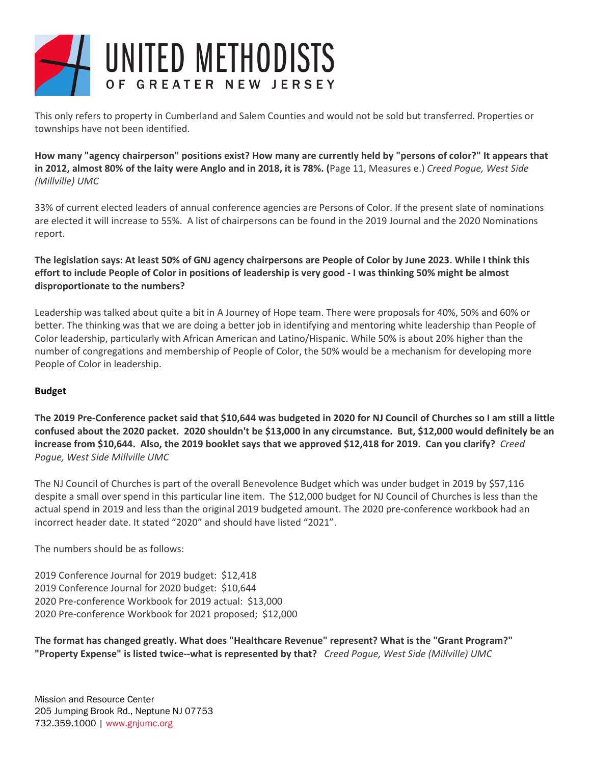

This only refers to property in Cumberland and Salem Counties and would not be sold but transferred. Properties or townships have not been identified.

**How many "agency chairperson" positions exist? How many are currently held by "persons of color?" It appears that in 2012, almost 80% of the laity were Anglo and in 2018, it is 78%. (**Page 11, Measures e.) *Creed Pogue, West Side (Millville) UMC*

33% of current elected leaders of annual conference agencies are Persons of Color. If the present slate of nominations are elected it will increase to 55%. A list of chairpersons can be found in the 2019 Journal and the 2020 Nominations report.

**The legislation says: At least 50% of GNJ agency chairpersons are People of Color by June 2023. While I think this effort to include People of Color in positions of leadership is very good - I was thinking 50% might be almost disproportionate to the numbers?**

Leadership was talked about quite a bit in A Journey of Hope team. There were proposals for 40%, 50% and 60% or better. The thinking was that we are doing a better job in identifying and mentoring white leadership than People of Color leadership, particularly with African American and Latino/Hispanic. While 50% is about 20% higher than the number of congregations and membership of People of Color, the 50% would be a mechanism for developing more People of Color in leadership.

#### **Budget**

**The 2019 Pre-Conference packet said that \$10,644 was budgeted in 2020 for NJ Council of Churches so I am still a little confused about the 2020 packet. 2020 shouldn't be \$13,000 in any circumstance. But, \$12,000 would definitely be an increase from \$10,644. Also, the 2019 booklet says that we approved \$12,418 for 2019. Can you clarify?** *Creed Pogue, West Side Millville UMC*

The NJ Council of Churches is part of the overall Benevolence Budget which was under budget in 2019 by \$57,116 despite a small over spend in this particular line item. The \$12,000 budget for NJ Council of Churches is less than the actual spend in 2019 and less than the original 2019 budgeted amount. The 2020 pre-conference workbook had an incorrect header date. It stated "2020" and should have listed "2021".

The numbers should be as follows:

2019 Conference Journal for 2019 budget: \$12,418 2019 Conference Journal for 2020 budget: \$10,644 2020 Pre-conference Workbook for 2019 actual: \$13,000 2020 Pre-conference Workbook for 2021 proposed; \$12,000

**The format has changed greatly. What does "Healthcare Revenue" represent? What is the "Grant Program?" "Property Expense" is listed twice--what is represented by that?** *Creed Pogue, West Side (Millville) UMC*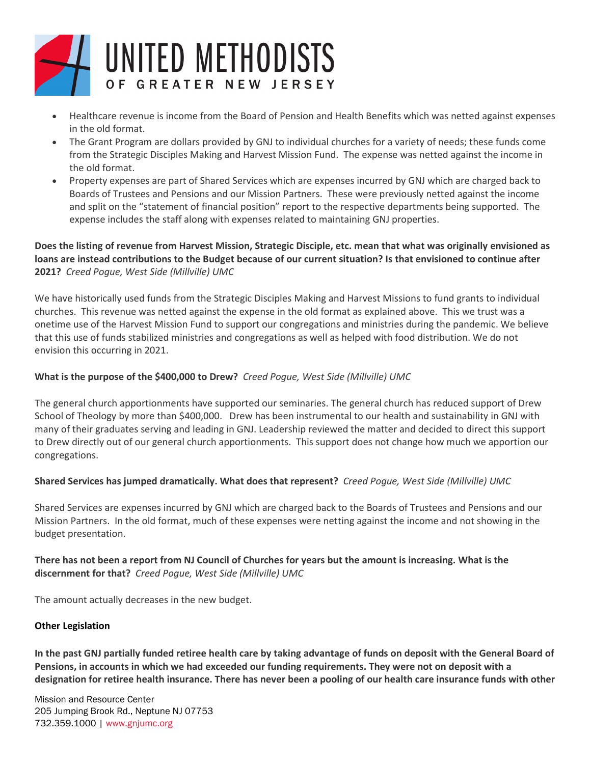

- Healthcare revenue is income from the Board of Pension and Health Benefits which was netted against expenses in the old format.
- The Grant Program are dollars provided by GNJ to individual churches for a variety of needs; these funds come from the Strategic Disciples Making and Harvest Mission Fund. The expense was netted against the income in the old format.
- Property expenses are part of Shared Services which are expenses incurred by GNJ which are charged back to Boards of Trustees and Pensions and our Mission Partners. These were previously netted against the income and split on the "statement of financial position" report to the respective departments being supported. The expense includes the staff along with expenses related to maintaining GNJ properties.

## **Does the listing of revenue from Harvest Mission, Strategic Disciple, etc. mean that what was originally envisioned as loans are instead contributions to the Budget because of our current situation? Is that envisioned to continue after 2021?** *Creed Pogue, West Side (Millville) UMC*

We have historically used funds from the Strategic Disciples Making and Harvest Missions to fund grants to individual churches. This revenue was netted against the expense in the old format as explained above. This we trust was a onetime use of the Harvest Mission Fund to support our congregations and ministries during the pandemic. We believe that this use of funds stabilized ministries and congregations as well as helped with food distribution. We do not envision this occurring in 2021.

# **What is the purpose of the \$400,000 to Drew?** *Creed Pogue, West Side (Millville) UMC*

The general church apportionments have supported our seminaries. The general church has reduced support of Drew School of Theology by more than \$400,000. Drew has been instrumental to our health and sustainability in GNJ with many of their graduates serving and leading in GNJ. Leadership reviewed the matter and decided to direct this support to Drew directly out of our general church apportionments. This support does not change how much we apportion our congregations.

## **Shared Services has jumped dramatically. What does that represent?** *Creed Pogue, West Side (Millville) UMC*

Shared Services are expenses incurred by GNJ which are charged back to the Boards of Trustees and Pensions and our Mission Partners. In the old format, much of these expenses were netting against the income and not showing in the budget presentation.

**There has not been a report from NJ Council of Churches for years but the amount is increasing. What is the discernment for that?** *Creed Pogue, West Side (Millville) UMC*

The amount actually decreases in the new budget.

#### **Other Legislation**

**In the past GNJ partially funded retiree health care by taking advantage of funds on deposit with the General Board of Pensions, in accounts in which we had exceeded our funding requirements. They were not on deposit with a designation for retiree health insurance. There has never been a pooling of our health care insurance funds with other**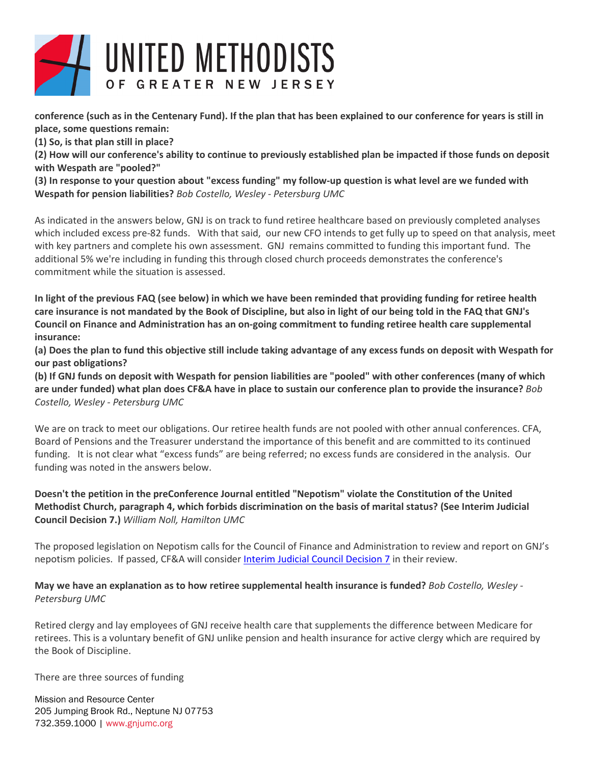

**conference (such as in the Centenary Fund). If the plan that has been explained to our conference for years is still in place, some questions remain:**

**(1) So, is that plan still in place?** 

**(2) How will our conference's ability to continue to previously established plan be impacted if those funds on deposit with Wespath are "pooled?"**

**(3) In response to your question about "excess funding" my follow-up question is what level are we funded with Wespath for pension liabilities?** *Bob Costello, Wesley - Petersburg UMC*

As indicated in the answers below, GNJ is on track to fund retiree healthcare based on previously completed analyses which included excess pre-82 funds. With that said, our new CFO intends to get fully up to speed on that analysis, meet with key partners and complete his own assessment. GNJ remains committed to funding this important fund. The additional 5% we're including in funding this through closed church proceeds demonstrates the conference's commitment while the situation is assessed.

**In light of the previous FAQ (see below) in which we have been reminded that providing funding for retiree health care insurance is not mandated by the Book of Discipline, but also in light of our being told in the FAQ that GNJ's Council on Finance and Administration has an on-going commitment to funding retiree health care supplemental insurance:**

**(a) Does the plan to fund this objective still include taking advantage of any excess funds on deposit with Wespath for our past obligations?** 

**(b) If GNJ funds on deposit with Wespath for pension liabilities are "pooled" with other conferences (many of which are under funded) what plan does CF&A have in place to sustain our conference plan to provide the insurance?** *Bob Costello, Wesley - Petersburg UMC*

We are on track to meet our obligations. Our retiree health funds are not pooled with other annual conferences. CFA, Board of Pensions and the Treasurer understand the importance of this benefit and are committed to its continued funding. It is not clear what "excess funds" are being referred; no excess funds are considered in the analysis. Our funding was noted in the answers below.

**Doesn't the petition in the preConference Journal entitled "Nepotism" violate the Constitution of the United Methodist Church, paragraph 4, which forbids discrimination on the basis of marital status? (See Interim Judicial Council Decision 7.)** *William Noll, Hamilton UMC*

The proposed legislation on Nepotism calls for the Council of Finance and Administration to review and report on GNJ's nepotism policies. If passed, CF&A will consider [Interim Judicial Council Decision 7](http://ee.umc.org/decisions/41881) in their review.

**May we have an explanation as to how retiree supplemental health insurance is funded?** *Bob Costello, Wesley - Petersburg UMC*

Retired clergy and lay employees of GNJ receive health care that supplements the difference between Medicare for retirees. This is a voluntary benefit of GNJ unlike pension and health insurance for active clergy which are required by the Book of Discipline.

There are three sources of funding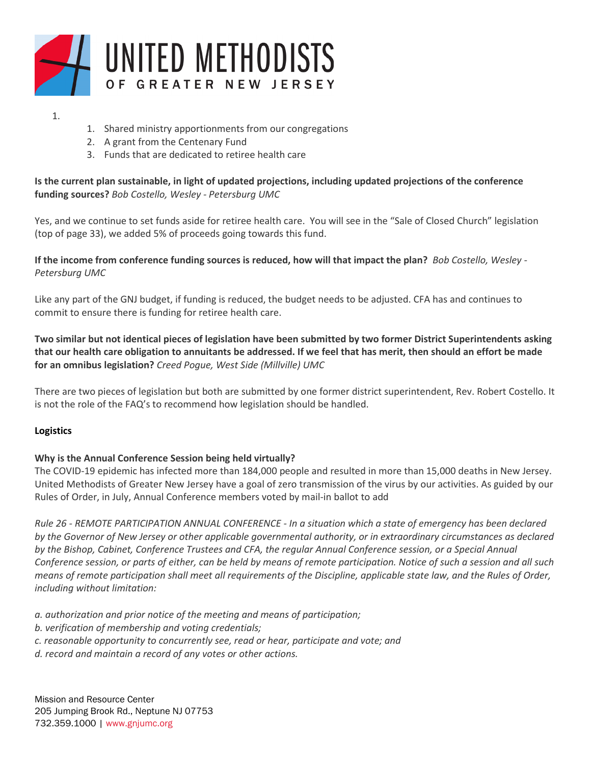

#### 1.

- 1. Shared ministry apportionments from our congregations
- 2. A grant from the Centenary Fund
- 3. Funds that are dedicated to retiree health care

# **Is the current plan sustainable, in light of updated projections, including updated projections of the conference funding sources?** *Bob Costello, Wesley - Petersburg UMC*

Yes, and we continue to set funds aside for retiree health care. You will see in the "Sale of Closed Church" legislation (top of page 33), we added 5% of proceeds going towards this fund.

# **If the income from conference funding sources is reduced, how will that impact the plan?** *Bob Costello, Wesley - Petersburg UMC*

Like any part of the GNJ budget, if funding is reduced, the budget needs to be adjusted. CFA has and continues to commit to ensure there is funding for retiree health care.

**Two similar but not identical pieces of legislation have been submitted by two former District Superintendents asking that our health care obligation to annuitants be addressed. If we feel that has merit, then should an effort be made for an omnibus legislation?** *Creed Pogue, West Side (Millville) UMC*

There are two pieces of legislation but both are submitted by one former district superintendent, Rev. Robert Costello. It is not the role of the FAQ's to recommend how legislation should be handled.

## **Logistics**

## **Why is the Annual Conference Session being held virtually?**

The COVID-19 epidemic has infected more than 184,000 people and resulted in more than 15,000 deaths in New Jersey. United Methodists of Greater New Jersey have a goal of zero transmission of the virus by our activities. As guided by our Rules of Order, in July, Annual Conference members voted by mail-in ballot to add

*Rule 26 - REMOTE PARTICIPATION ANNUAL CONFERENCE - In a situation which a state of emergency has been declared by the Governor of New Jersey or other applicable governmental authority, or in extraordinary circumstances as declared by the Bishop, Cabinet, Conference Trustees and CFA, the regular Annual Conference session, or a Special Annual Conference session, or parts of either, can be held by means of remote participation. Notice of such a session and all such means of remote participation shall meet all requirements of the Discipline, applicable state law, and the Rules of Order, including without limitation:* 

- *a. authorization and prior notice of the meeting and means of participation;*
- *b. verification of membership and voting credentials;*
- *c. reasonable opportunity to concurrently see, read or hear, participate and vote; and*
- *d. record and maintain a record of any votes or other actions.*